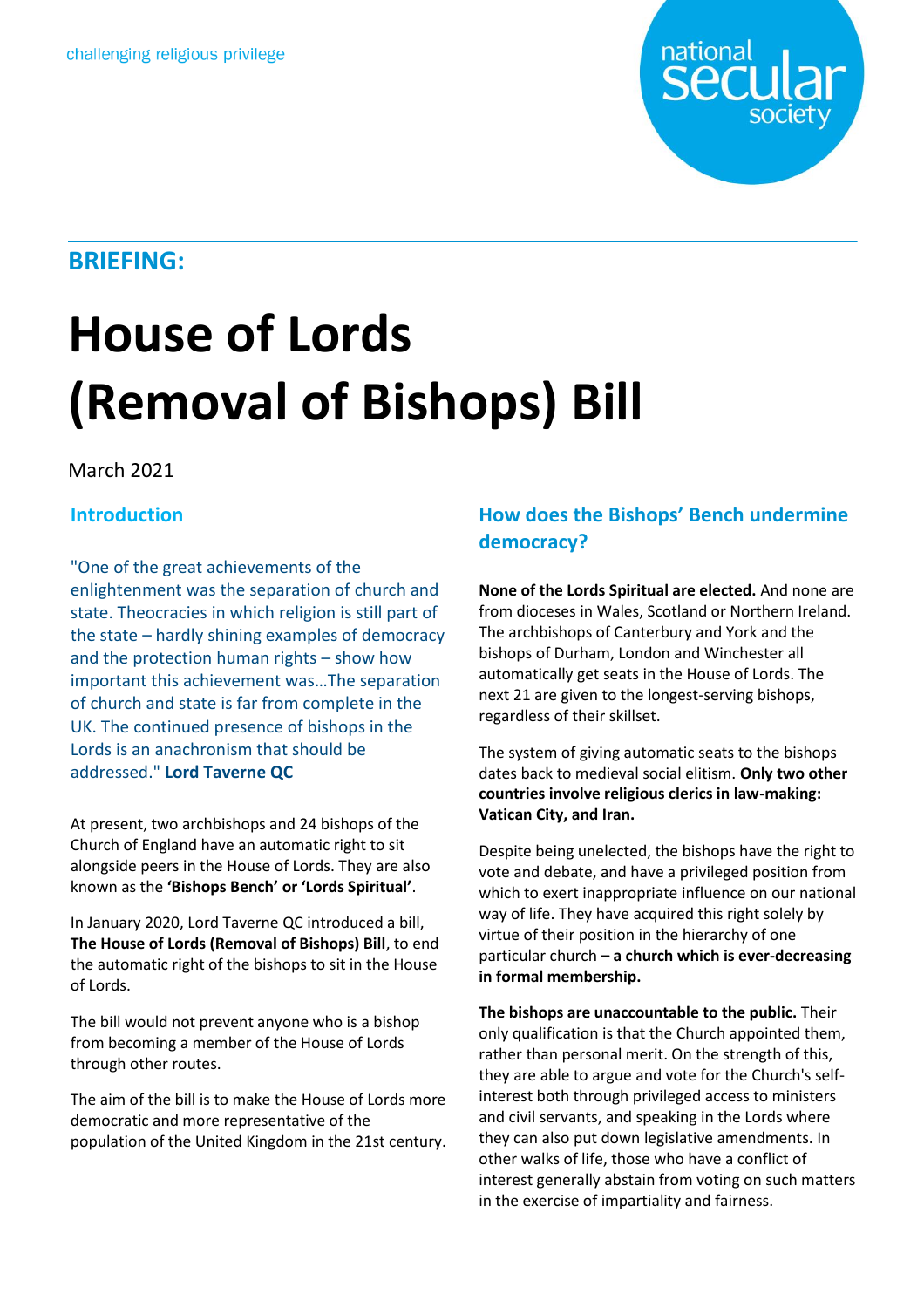

# **BRIEFING:**

# **House of Lords (Removal of Bishops) Bill**

# March 2021

## **Introduction**

"One of the great achievements of the enlightenment was the separation of church and state. Theocracies in which religion is still part of the state - hardly shining examples of democracy and the protection human rights – show how important this achievement was…The separation of church and state is far from complete in the UK. The continued presence of bishops in the Lords is an anachronism that should be addressed." **Lord Taverne QC**

At present, two archbishops and 24 bishops of the Church of England have an automatic right to sit alongside peers in the House of Lords. They are also known as the **'Bishops Bench' or 'Lords Spiritual'**.

In January 2020, Lord Taverne QC introduced a bill, **The House of Lords (Removal of Bishops) Bill**, to end the automatic right of the bishops to sit in the House of Lords.

The bill would not prevent anyone who is a bishop from becoming a member of the House of Lords through other routes.

The aim of the bill is to make the House of Lords more democratic and more representative of the population of the United Kingdom in the 21st century.

# **How does the Bishops' Bench undermine democracy?**

**None of the Lords Spiritual are elected.** And none are from dioceses in Wales, Scotland or Northern Ireland. The archbishops of Canterbury and York and the bishops of Durham, London and Winchester all automatically get seats in the House of Lords. The next 21 are given to the longest-serving bishops, regardless of their skillset.

The system of giving automatic seats to the bishops dates back to medieval social elitism. **Only two other countries involve religious clerics in law-making: Vatican City, and Iran.** 

Despite being unelected, the bishops have the right to vote and debate, and have a privileged position from which to exert inappropriate influence on our national way of life. They have acquired this right solely by virtue of their position in the hierarchy of one particular church **– a church which is ever-decreasing in formal membership.**

**The bishops are unaccountable to the public.** Their only qualification is that the Church appointed them, rather than personal merit. On the strength of this, they are able to argue and vote for the Church's selfinterest both through privileged access to ministers and civil servants, and speaking in the Lords where they can also put down legislative amendments. In other walks of life, those who have a conflict of interest generally abstain from voting on such matters in the exercise of impartiality and fairness.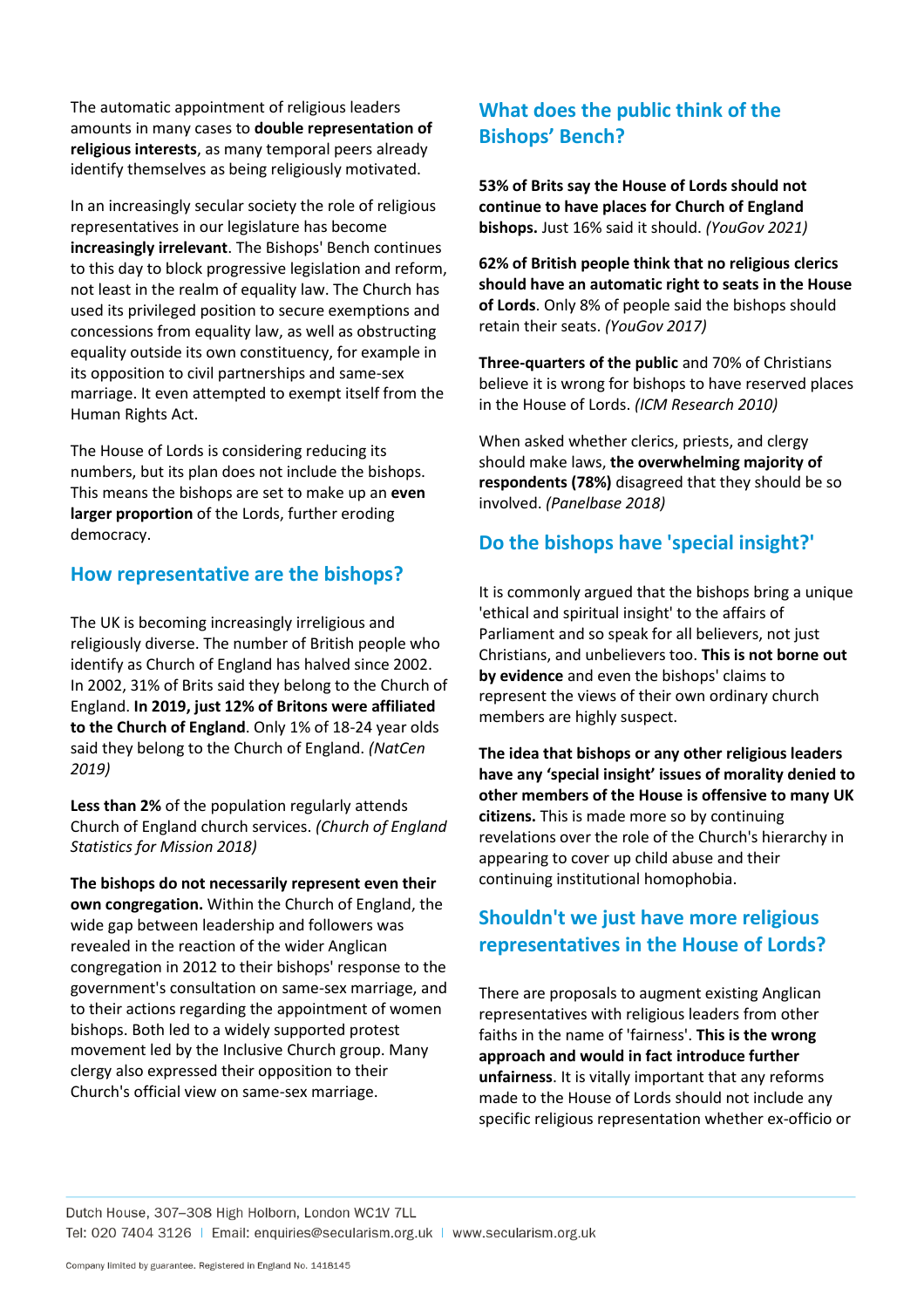The automatic appointment of religious leaders amounts in many cases to **double representation of religious interests**, as many temporal peers already identify themselves as being religiously motivated.

In an increasingly secular society the role of religious representatives in our legislature has become **increasingly irrelevant**. The Bishops' Bench continues to this day to block progressive legislation and reform, not least in the realm of equality law. The Church has used its privileged position to secure exemptions and concessions from equality law, as well as obstructing equality outside its own constituency, for example in its opposition to civil partnerships and same-sex marriage. It even attempted to exempt itself from the Human Rights Act.

The House of Lords is considering reducing its numbers, but its plan does not include the bishops. This means the bishops are set to make up an **even larger proportion** of the Lords, further eroding democracy.

#### **How representative are the bishops?**

The UK is becoming increasingly irreligious and religiously diverse. The number of British people who identify as Church of England has halved since 2002. In 2002, 31% of Brits said they belong to the Church of England. **In 2019, just 12% of Britons were affiliated to the Church of England**. Only 1% of 18-24 year olds said they belong to the Church of England. *(NatCen 2019)*

**Less than 2%** of the population regularly attends Church of England church services. *(Church of England Statistics for Mission 2018)*

**The bishops do not necessarily represent even their own congregation.** Within the Church of England, the wide gap between leadership and followers was revealed in the reaction of the wider Anglican congregation in 2012 to their bishops' response to the government's consultation on same-sex marriage, and to their actions regarding the appointment of women bishops. Both led to a widely supported protest movement led by the Inclusive Church group. Many clergy also expressed their opposition to their Church's official view on same-sex marriage.

# **What does the public think of the Bishops' Bench?**

**53% of Brits say the House of Lords should not continue to have places for Church of England bishops.** Just 16% said it should. *(YouGov 2021)*

**62% of British people think that no religious clerics should have an automatic right to seats in the House of Lords**. Only 8% of people said the bishops should retain their seats. *(YouGov 2017)*

**Three-quarters of the public** and 70% of Christians believe it is wrong for bishops to have reserved places in the House of Lords. *(ICM Research 2010)*

When asked whether clerics, priests, and clergy should make laws, **the overwhelming majority of respondents (78%)** disagreed that they should be so involved. *(Panelbase 2018)*

### **Do the bishops have 'special insight?'**

It is commonly argued that the bishops bring a unique 'ethical and spiritual insight' to the affairs of Parliament and so speak for all believers, not just Christians, and unbelievers too. **This is not borne out by evidence** and even the bishops' claims to represent the views of their own ordinary church members are highly suspect.

**The idea that bishops or any other religious leaders have any 'special insight' issues of morality denied to other members of the House is offensive to many UK citizens.** This is made more so by continuing revelations over the role of the Church's hierarchy in appearing to cover up child abuse and their continuing institutional homophobia.

# **Shouldn't we just have more religious representatives in the House of Lords?**

There are proposals to augment existing Anglican representatives with religious leaders from other faiths in the name of 'fairness'. **This is the wrong approach and would in fact introduce further unfairness**. It is vitally important that any reforms made to the House of Lords should not include any specific religious representation whether ex-officio or